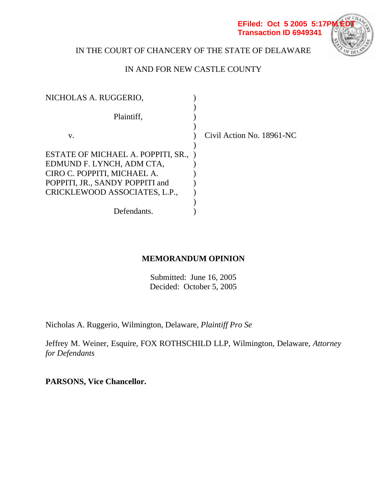

# IN THE COURT OF CHANCERY OF THE STATE OF DELAWARE

# IN AND FOR NEW CASTLE COUNTY

| NICHOLAS A. RUGGERIO,              |                           |
|------------------------------------|---------------------------|
| Plaintiff,                         |                           |
| v.                                 | Civil Action No. 18961-NC |
|                                    |                           |
| ESTATE OF MICHAEL A. POPPITI, SR., |                           |
| EDMUND F. LYNCH, ADM CTA,          |                           |
| CIRO C. POPPITI, MICHAEL A.        |                           |
| POPPITI, JR., SANDY POPPITI and    |                           |
| CRICKLEWOOD ASSOCIATES, L.P.,      |                           |
|                                    |                           |
| Defendants.                        |                           |

# **MEMORANDUM OPINION**

Submitted: June 16, 2005 Decided: October 5, 2005

Nicholas A. Ruggerio, Wilmington, Delaware, *Plaintiff Pro Se*

Jeffrey M. Weiner, Esquire, FOX ROTHSCHILD LLP, Wilmington, Delaware, *Attorney for Defendants* 

**PARSONS, Vice Chancellor.**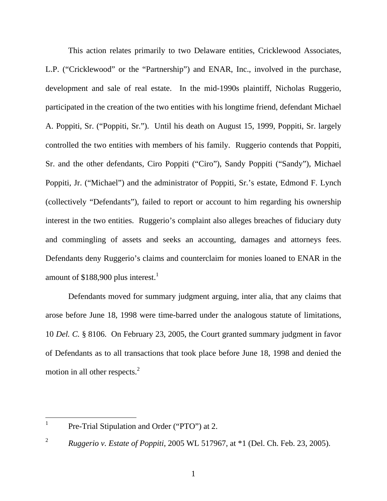This action relates primarily to two Delaware entities, Cricklewood Associates, L.P. ("Cricklewood" or the "Partnership") and ENAR, Inc., involved in the purchase, development and sale of real estate. In the mid-1990s plaintiff, Nicholas Ruggerio, participated in the creation of the two entities with his longtime friend, defendant Michael A. Poppiti, Sr. ("Poppiti, Sr."). Until his death on August 15, 1999, Poppiti, Sr. largely controlled the two entities with members of his family. Ruggerio contends that Poppiti, Sr. and the other defendants, Ciro Poppiti ("Ciro"), Sandy Poppiti ("Sandy"), Michael Poppiti, Jr. ("Michael") and the administrator of Poppiti, Sr.'s estate, Edmond F. Lynch (collectively "Defendants"), failed to report or account to him regarding his ownership interest in the two entities. Ruggerio's complaint also alleges breaches of fiduciary duty and commingling of assets and seeks an accounting, damages and attorneys fees. Defendants deny Ruggerio's claims and counterclaim for monies loaned to ENAR in the amount of  $$188,900$  plus interest.<sup>1</sup>

Defendants moved for summary judgment arguing, inter alia, that any claims that arose before June 18, 1998 were time-barred under the analogous statute of limitations, 10 *Del. C.* § 8106. On February 23, 2005, the Court granted summary judgment in favor of Defendants as to all transactions that took place before June 18, 1998 and denied the motion in all other respects.<sup>2</sup>

 1

Pre-Trial Stipulation and Order ("PTO") at 2.

<sup>2</sup> *Ruggerio v. Estate of Poppiti*, 2005 WL 517967, at \*1 (Del. Ch. Feb. 23, 2005).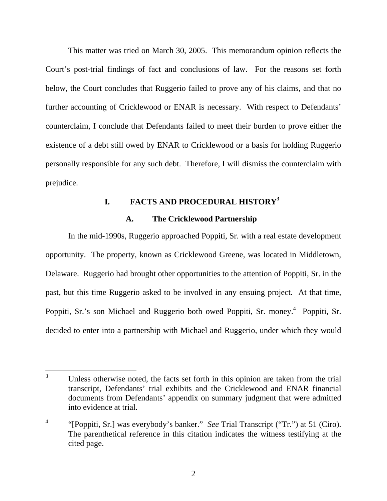This matter was tried on March 30, 2005. This memorandum opinion reflects the Court's post-trial findings of fact and conclusions of law. For the reasons set forth below, the Court concludes that Ruggerio failed to prove any of his claims, and that no further accounting of Cricklewood or ENAR is necessary. With respect to Defendants' counterclaim, I conclude that Defendants failed to meet their burden to prove either the existence of a debt still owed by ENAR to Cricklewood or a basis for holding Ruggerio personally responsible for any such debt. Therefore, I will dismiss the counterclaim with prejudice.

### **I. FACTS AND PROCEDURAL HISTORY3**

## **A. The Cricklewood Partnership**

In the mid-1990s, Ruggerio approached Poppiti, Sr. with a real estate development opportunity. The property, known as Cricklewood Greene, was located in Middletown, Delaware. Ruggerio had brought other opportunities to the attention of Poppiti, Sr. in the past, but this time Ruggerio asked to be involved in any ensuing project. At that time, Poppiti, Sr.'s son Michael and Ruggerio both owed Poppiti, Sr. money.<sup>4</sup> Poppiti, Sr. decided to enter into a partnership with Michael and Ruggerio, under which they would

 $\overline{a}$ 3 Unless otherwise noted, the facts set forth in this opinion are taken from the trial transcript, Defendants' trial exhibits and the Cricklewood and ENAR financial documents from Defendants' appendix on summary judgment that were admitted into evidence at trial.

<sup>4</sup> "[Poppiti, Sr.] was everybody's banker." *See* Trial Transcript ("Tr.") at 51 (Ciro). The parenthetical reference in this citation indicates the witness testifying at the cited page.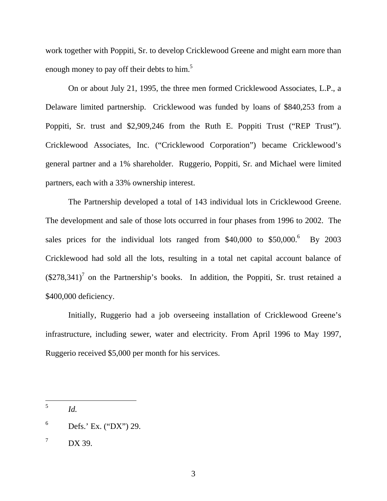work together with Poppiti, Sr. to develop Cricklewood Greene and might earn more than enough money to pay off their debts to him.<sup>5</sup>

On or about July 21, 1995, the three men formed Cricklewood Associates, L.P., a Delaware limited partnership. Cricklewood was funded by loans of \$840,253 from a Poppiti, Sr. trust and \$2,909,246 from the Ruth E. Poppiti Trust ("REP Trust"). Cricklewood Associates, Inc. ("Cricklewood Corporation") became Cricklewood's general partner and a 1% shareholder. Ruggerio, Poppiti, Sr. and Michael were limited partners, each with a 33% ownership interest.

The Partnership developed a total of 143 individual lots in Cricklewood Greene. The development and sale of those lots occurred in four phases from 1996 to 2002. The sales prices for the individual lots ranged from \$40,000 to \$50,000.<sup>6</sup> By 2003 Cricklewood had sold all the lots, resulting in a total net capital account balance of  $(\$278,341)$ <sup>7</sup> on the Partnership's books. In addition, the Poppiti, Sr. trust retained a \$400,000 deficiency.

Initially, Ruggerio had a job overseeing installation of Cricklewood Greene's infrastructure, including sewer, water and electricity. From April 1996 to May 1997, Ruggerio received \$5,000 per month for his services.

<sup>5</sup> <sup>5</sup> *Id.*

<sup>6</sup> Defs.' Ex. ("DX") 29.

<sup>7</sup> DX 39.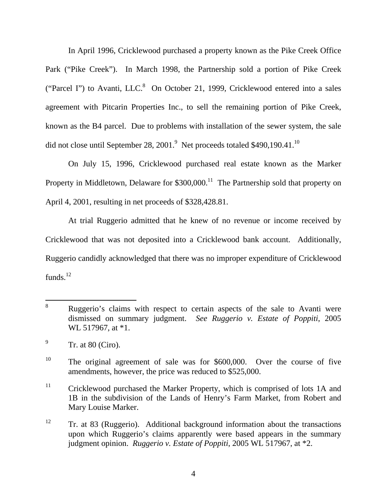In April 1996, Cricklewood purchased a property known as the Pike Creek Office Park ("Pike Creek"). In March 1998, the Partnership sold a portion of Pike Creek ("Parcel I") to Avanti, LLC. $8$  On October 21, 1999, Cricklewood entered into a sales agreement with Pitcarin Properties Inc., to sell the remaining portion of Pike Creek, known as the B4 parcel. Due to problems with installation of the sewer system, the sale did not close until September 28, 2001. $^9$  Net proceeds totaled \$490,190.41.<sup>10</sup>

On July 15, 1996, Cricklewood purchased real estate known as the Marker Property in Middletown, Delaware for  $$300,000$ .<sup>11</sup> The Partnership sold that property on April 4, 2001, resulting in net proceeds of \$328,428.81.

At trial Ruggerio admitted that he knew of no revenue or income received by Cricklewood that was not deposited into a Cricklewood bank account. Additionally, Ruggerio candidly acknowledged that there was no improper expenditure of Cricklewood funds. $12$ 

 $11$  Cricklewood purchased the Marker Property, which is comprised of lots 1A and 1B in the subdivision of the Lands of Henry's Farm Market, from Robert and Mary Louise Marker.

 $\overline{a}$ 8 Ruggerio's claims with respect to certain aspects of the sale to Avanti were dismissed on summary judgment. *See Ruggerio v. Estate of Poppiti*, 2005 WL 517967, at \*1.

<sup>9</sup> Tr. at 80 (Ciro).

<sup>&</sup>lt;sup>10</sup> The original agreement of sale was for \$600,000. Over the course of five amendments, however, the price was reduced to \$525,000.

<sup>&</sup>lt;sup>12</sup> Tr. at 83 (Ruggerio). Additional background information about the transactions upon which Ruggerio's claims apparently were based appears in the summary judgment opinion. *Ruggerio v. Estate of Poppiti*, 2005 WL 517967, at \*2.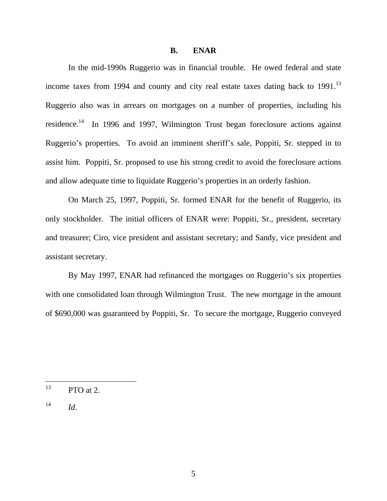#### **B. ENAR**

In the mid-1990s Ruggerio was in financial trouble. He owed federal and state income taxes from 1994 and county and city real estate taxes dating back to  $1991$ .<sup>13</sup> Ruggerio also was in arrears on mortgages on a number of properties, including his residence.<sup>14</sup> In 1996 and 1997, Wilmington Trust began foreclosure actions against Ruggerio's properties. To avoid an imminent sheriff's sale, Poppiti, Sr. stepped in to assist him. Poppiti, Sr. proposed to use his strong credit to avoid the foreclosure actions and allow adequate time to liquidate Ruggerio's properties in an orderly fashion.

On March 25, 1997, Poppiti, Sr. formed ENAR for the benefit of Ruggerio, its only stockholder. The initial officers of ENAR were: Poppiti, Sr., president, secretary and treasurer; Ciro, vice president and assistant secretary; and Sandy, vice president and assistant secretary.

By May 1997, ENAR had refinanced the mortgages on Ruggerio's six properties with one consolidated loan through Wilmington Trust. The new mortgage in the amount of \$690,000 was guaranteed by Poppiti, Sr. To secure the mortgage, Ruggerio conveyed

<sup>13</sup> PTO at 2.

 $14$  *Id.*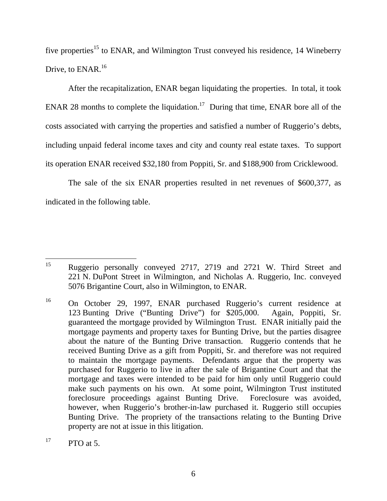five properties<sup>15</sup> to ENAR, and Wilmington Trust conveyed his residence, 14 Wineberry Drive, to ENAR.<sup>16</sup>

After the recapitalization, ENAR began liquidating the properties. In total, it took ENAR 28 months to complete the liquidation.<sup>17</sup> During that time, ENAR bore all of the costs associated with carrying the properties and satisfied a number of Ruggerio's debts, including unpaid federal income taxes and city and county real estate taxes. To support its operation ENAR received \$32,180 from Poppiti, Sr. and \$188,900 from Cricklewood.

The sale of the six ENAR properties resulted in net revenues of \$600,377, as indicated in the following table.

<sup>15</sup> 15 Ruggerio personally conveyed 2717, 2719 and 2721 W. Third Street and 221 N. DuPont Street in Wilmington, and Nicholas A. Ruggerio, Inc. conveyed 5076 Brigantine Court, also in Wilmington, to ENAR.

<sup>16</sup> On October 29, 1997, ENAR purchased Ruggerio's current residence at 123 Bunting Drive ("Bunting Drive") for \$205,000. Again, Poppiti, Sr. guaranteed the mortgage provided by Wilmington Trust. ENAR initially paid the mortgage payments and property taxes for Bunting Drive, but the parties disagree about the nature of the Bunting Drive transaction. Ruggerio contends that he received Bunting Drive as a gift from Poppiti, Sr. and therefore was not required to maintain the mortgage payments. Defendants argue that the property was purchased for Ruggerio to live in after the sale of Brigantine Court and that the mortgage and taxes were intended to be paid for him only until Ruggerio could make such payments on his own. At some point, Wilmington Trust instituted foreclosure proceedings against Bunting Drive. Foreclosure was avoided, however, when Ruggerio's brother-in-law purchased it. Ruggerio still occupies Bunting Drive. The propriety of the transactions relating to the Bunting Drive property are not at issue in this litigation.

 $\Gamma$ <sup>17</sup> PTO at 5.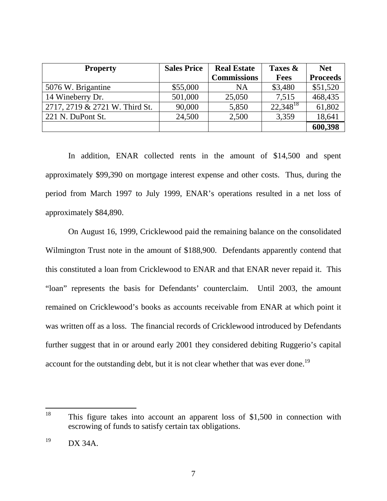| <b>Property</b>                | <b>Sales Price</b> | <b>Real Estate</b> | Taxes &       | <b>Net</b>      |
|--------------------------------|--------------------|--------------------|---------------|-----------------|
|                                |                    | <b>Commissions</b> | <b>Fees</b>   | <b>Proceeds</b> |
| 5076 W. Brigantine             | \$55,000           | NA                 | \$3,480       | \$51,520        |
| 14 Wineberry Dr.               | 501,000            | 25,050             | 7,515         | 468,435         |
| 2717, 2719 & 2721 W. Third St. | 90,000             | 5,850              | $22,348^{18}$ | 61,802          |
| 221 N. DuPont St.              | 24,500             | 2,500              | 3,359         | 18,641          |
|                                |                    |                    |               | 600,398         |

In addition, ENAR collected rents in the amount of \$14,500 and spent approximately \$99,390 on mortgage interest expense and other costs. Thus, during the period from March 1997 to July 1999, ENAR's operations resulted in a net loss of approximately \$84,890.

On August 16, 1999, Cricklewood paid the remaining balance on the consolidated Wilmington Trust note in the amount of \$188,900. Defendants apparently contend that this constituted a loan from Cricklewood to ENAR and that ENAR never repaid it. This "loan" represents the basis for Defendants' counterclaim. Until 2003, the amount remained on Cricklewood's books as accounts receivable from ENAR at which point it was written off as a loss. The financial records of Cricklewood introduced by Defendants further suggest that in or around early 2001 they considered debiting Ruggerio's capital account for the outstanding debt, but it is not clear whether that was ever done.<sup>19</sup>

<sup>18</sup> This figure takes into account an apparent loss of  $$1,500$  in connection with escrowing of funds to satisfy certain tax obligations.

 $19$  DX 34A.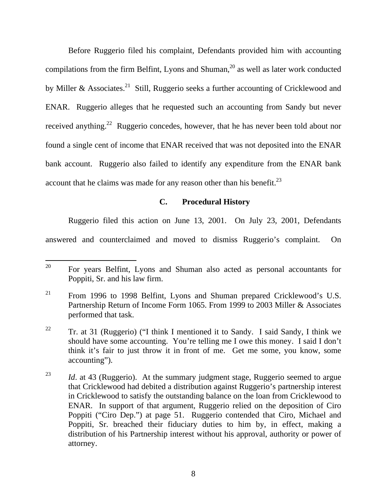Before Ruggerio filed his complaint, Defendants provided him with accounting compilations from the firm Belfint, Lyons and Shuman, $^{20}$  as well as later work conducted by Miller & Associates.<sup>21</sup> Still, Ruggerio seeks a further accounting of Cricklewood and ENAR. Ruggerio alleges that he requested such an accounting from Sandy but never received anything.<sup>22</sup> Ruggerio concedes, however, that he has never been told about nor found a single cent of income that ENAR received that was not deposited into the ENAR bank account. Ruggerio also failed to identify any expenditure from the ENAR bank account that he claims was made for any reason other than his benefit.<sup>23</sup>

### **C. Procedural History**

Ruggerio filed this action on June 13, 2001. On July 23, 2001, Defendants

answered and counterclaimed and moved to dismiss Ruggerio's complaint. On

<sup>20</sup> 20 For years Belfint, Lyons and Shuman also acted as personal accountants for Poppiti, Sr. and his law firm.

 $21$  From 1996 to 1998 Belfint, Lyons and Shuman prepared Cricklewood's U.S. Partnership Return of Income Form 1065. From 1999 to 2003 Miller & Associates performed that task.

<sup>&</sup>lt;sup>22</sup> Tr. at 31 (Ruggerio) ("I think I mentioned it to Sandy. I said Sandy, I think we should have some accounting. You're telling me I owe this money. I said I don't think it's fair to just throw it in front of me. Get me some, you know, some accounting").

<sup>&</sup>lt;sup>23</sup> *Id.* at 43 (Ruggerio). At the summary judgment stage, Ruggerio seemed to argue that Cricklewood had debited a distribution against Ruggerio's partnership interest in Cricklewood to satisfy the outstanding balance on the loan from Cricklewood to ENAR. In support of that argument, Ruggerio relied on the deposition of Ciro Poppiti ("Ciro Dep.") at page 51. Ruggerio contended that Ciro, Michael and Poppiti, Sr. breached their fiduciary duties to him by, in effect, making a distribution of his Partnership interest without his approval, authority or power of attorney.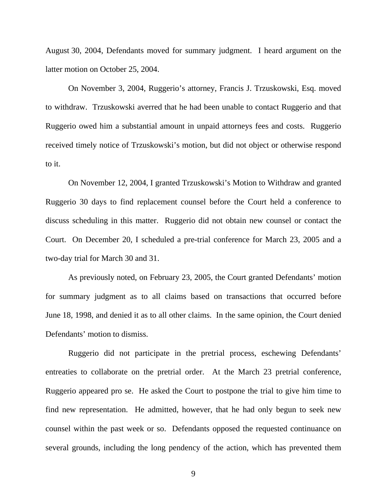August 30, 2004, Defendants moved for summary judgment. I heard argument on the latter motion on October 25, 2004.

On November 3, 2004, Ruggerio's attorney, Francis J. Trzuskowski, Esq. moved to withdraw. Trzuskowski averred that he had been unable to contact Ruggerio and that Ruggerio owed him a substantial amount in unpaid attorneys fees and costs. Ruggerio received timely notice of Trzuskowski's motion, but did not object or otherwise respond to it.

On November 12, 2004, I granted Trzuskowski's Motion to Withdraw and granted Ruggerio 30 days to find replacement counsel before the Court held a conference to discuss scheduling in this matter. Ruggerio did not obtain new counsel or contact the Court. On December 20, I scheduled a pre-trial conference for March 23, 2005 and a two-day trial for March 30 and 31.

As previously noted, on February 23, 2005, the Court granted Defendants' motion for summary judgment as to all claims based on transactions that occurred before June 18, 1998, and denied it as to all other claims. In the same opinion, the Court denied Defendants' motion to dismiss.

Ruggerio did not participate in the pretrial process, eschewing Defendants' entreaties to collaborate on the pretrial order. At the March 23 pretrial conference, Ruggerio appeared pro se. He asked the Court to postpone the trial to give him time to find new representation. He admitted, however, that he had only begun to seek new counsel within the past week or so. Defendants opposed the requested continuance on several grounds, including the long pendency of the action, which has prevented them

9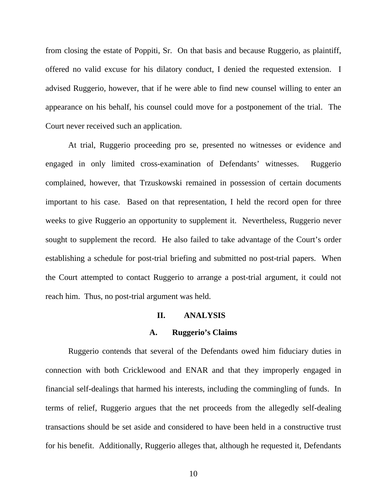from closing the estate of Poppiti, Sr. On that basis and because Ruggerio, as plaintiff, offered no valid excuse for his dilatory conduct, I denied the requested extension. I advised Ruggerio, however, that if he were able to find new counsel willing to enter an appearance on his behalf, his counsel could move for a postponement of the trial. The Court never received such an application.

At trial, Ruggerio proceeding pro se, presented no witnesses or evidence and engaged in only limited cross-examination of Defendants' witnesses. Ruggerio complained, however, that Trzuskowski remained in possession of certain documents important to his case. Based on that representation, I held the record open for three weeks to give Ruggerio an opportunity to supplement it. Nevertheless, Ruggerio never sought to supplement the record. He also failed to take advantage of the Court's order establishing a schedule for post-trial briefing and submitted no post-trial papers. When the Court attempted to contact Ruggerio to arrange a post-trial argument, it could not reach him. Thus, no post-trial argument was held.

#### **II. ANALYSIS**

#### **A. Ruggerio's Claims**

Ruggerio contends that several of the Defendants owed him fiduciary duties in connection with both Cricklewood and ENAR and that they improperly engaged in financial self-dealings that harmed his interests, including the commingling of funds. In terms of relief, Ruggerio argues that the net proceeds from the allegedly self-dealing transactions should be set aside and considered to have been held in a constructive trust for his benefit. Additionally, Ruggerio alleges that, although he requested it, Defendants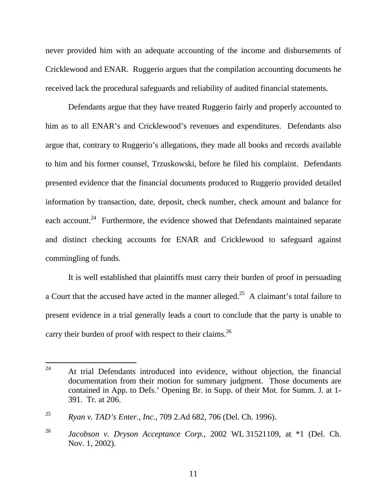never provided him with an adequate accounting of the income and disbursements of Cricklewood and ENAR. Ruggerio argues that the compilation accounting documents he received lack the procedural safeguards and reliability of audited financial statements.

Defendants argue that they have treated Ruggerio fairly and properly accounted to him as to all ENAR's and Cricklewood's revenues and expenditures. Defendants also argue that, contrary to Ruggerio's allegations, they made all books and records available to him and his former counsel, Trzuskowski, before he filed his complaint. Defendants presented evidence that the financial documents produced to Ruggerio provided detailed information by transaction, date, deposit, check number, check amount and balance for each account.<sup>24</sup> Furthermore, the evidence showed that Defendants maintained separate and distinct checking accounts for ENAR and Cricklewood to safeguard against commingling of funds.

It is well established that plaintiffs must carry their burden of proof in persuading a Court that the accused have acted in the manner alleged.<sup>25</sup> A claimant's total failure to present evidence in a trial generally leads a court to conclude that the party is unable to carry their burden of proof with respect to their claims.<sup>26</sup>

<sup>24</sup> At trial Defendants introduced into evidence, without objection, the financial documentation from their motion for summary judgment. Those documents are contained in App. to Defs.' Opening Br. in Supp. of their Mot. for Summ. J. at 1- 391. Tr. at 206.

<sup>25</sup> *Ryan v. TAD's Enter., Inc.,* 709 2.Ad 682, 706 (Del. Ch. 1996).

<sup>26</sup> *Jacobson v. Dryson Acceptance Corp.*, 2002 WL 31521109, at \*1 (Del. Ch. Nov. 1, 2002).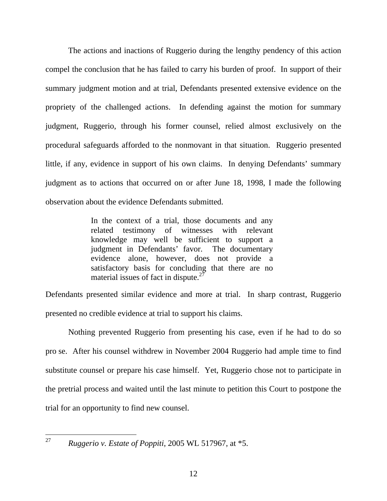The actions and inactions of Ruggerio during the lengthy pendency of this action compel the conclusion that he has failed to carry his burden of proof. In support of their summary judgment motion and at trial, Defendants presented extensive evidence on the propriety of the challenged actions. In defending against the motion for summary judgment, Ruggerio, through his former counsel, relied almost exclusively on the procedural safeguards afforded to the nonmovant in that situation. Ruggerio presented little, if any, evidence in support of his own claims. In denying Defendants' summary judgment as to actions that occurred on or after June 18, 1998, I made the following observation about the evidence Defendants submitted.

> In the context of a trial, those documents and any related testimony of witnesses with relevant knowledge may well be sufficient to support a judgment in Defendants' favor. The documentary evidence alone, however, does not provide a satisfactory basis for concluding that there are no material issues of fact in dispute.<sup>27</sup>

Defendants presented similar evidence and more at trial. In sharp contrast, Ruggerio presented no credible evidence at trial to support his claims.

Nothing prevented Ruggerio from presenting his case, even if he had to do so pro se. After his counsel withdrew in November 2004 Ruggerio had ample time to find substitute counsel or prepare his case himself. Yet, Ruggerio chose not to participate in the pretrial process and waited until the last minute to petition this Court to postpone the trial for an opportunity to find new counsel.

 $27$ 

<sup>27</sup> *Ruggerio v. Estate of Poppiti*, 2005 WL 517967, at \*5.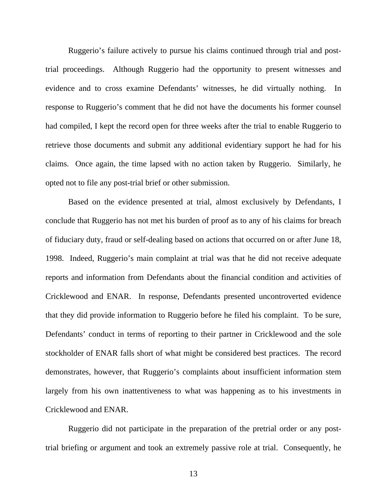Ruggerio's failure actively to pursue his claims continued through trial and posttrial proceedings. Although Ruggerio had the opportunity to present witnesses and evidence and to cross examine Defendants' witnesses, he did virtually nothing. In response to Ruggerio's comment that he did not have the documents his former counsel had compiled, I kept the record open for three weeks after the trial to enable Ruggerio to retrieve those documents and submit any additional evidentiary support he had for his claims. Once again, the time lapsed with no action taken by Ruggerio. Similarly, he opted not to file any post-trial brief or other submission.

Based on the evidence presented at trial, almost exclusively by Defendants, I conclude that Ruggerio has not met his burden of proof as to any of his claims for breach of fiduciary duty, fraud or self-dealing based on actions that occurred on or after June 18, 1998. Indeed, Ruggerio's main complaint at trial was that he did not receive adequate reports and information from Defendants about the financial condition and activities of Cricklewood and ENAR. In response, Defendants presented uncontroverted evidence that they did provide information to Ruggerio before he filed his complaint. To be sure, Defendants' conduct in terms of reporting to their partner in Cricklewood and the sole stockholder of ENAR falls short of what might be considered best practices. The record demonstrates, however, that Ruggerio's complaints about insufficient information stem largely from his own inattentiveness to what was happening as to his investments in Cricklewood and ENAR.

Ruggerio did not participate in the preparation of the pretrial order or any posttrial briefing or argument and took an extremely passive role at trial. Consequently, he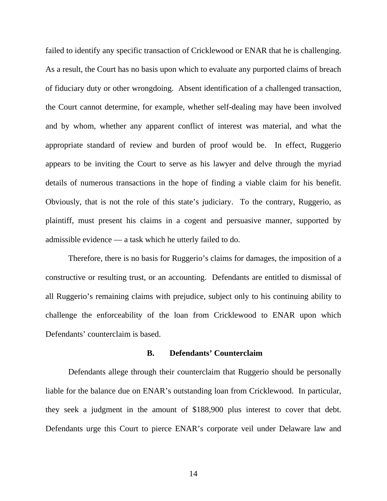failed to identify any specific transaction of Cricklewood or ENAR that he is challenging. As a result, the Court has no basis upon which to evaluate any purported claims of breach of fiduciary duty or other wrongdoing. Absent identification of a challenged transaction, the Court cannot determine, for example, whether self-dealing may have been involved and by whom, whether any apparent conflict of interest was material, and what the appropriate standard of review and burden of proof would be. In effect, Ruggerio appears to be inviting the Court to serve as his lawyer and delve through the myriad details of numerous transactions in the hope of finding a viable claim for his benefit. Obviously, that is not the role of this state's judiciary. To the contrary, Ruggerio, as plaintiff, must present his claims in a cogent and persuasive manner, supported by admissible evidence — a task which he utterly failed to do.

Therefore, there is no basis for Ruggerio's claims for damages, the imposition of a constructive or resulting trust, or an accounting. Defendants are entitled to dismissal of all Ruggerio's remaining claims with prejudice, subject only to his continuing ability to challenge the enforceability of the loan from Cricklewood to ENAR upon which Defendants' counterclaim is based.

#### **B. Defendants' Counterclaim**

Defendants allege through their counterclaim that Ruggerio should be personally liable for the balance due on ENAR's outstanding loan from Cricklewood. In particular, they seek a judgment in the amount of \$188,900 plus interest to cover that debt. Defendants urge this Court to pierce ENAR's corporate veil under Delaware law and

14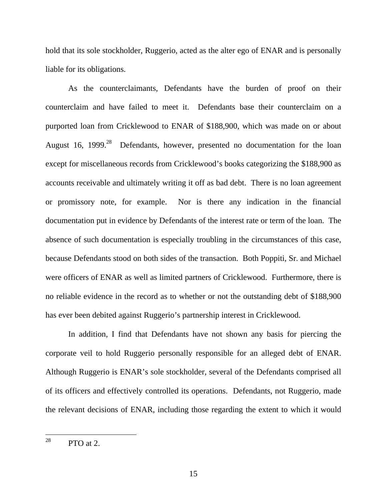hold that its sole stockholder, Ruggerio, acted as the alter ego of ENAR and is personally liable for its obligations.

As the counterclaimants, Defendants have the burden of proof on their counterclaim and have failed to meet it. Defendants base their counterclaim on a purported loan from Cricklewood to ENAR of \$188,900, which was made on or about August 16, 1999<sup>28</sup> Defendants, however, presented no documentation for the loan except for miscellaneous records from Cricklewood's books categorizing the \$188,900 as accounts receivable and ultimately writing it off as bad debt. There is no loan agreement or promissory note, for example. Nor is there any indication in the financial documentation put in evidence by Defendants of the interest rate or term of the loan. The absence of such documentation is especially troubling in the circumstances of this case, because Defendants stood on both sides of the transaction. Both Poppiti, Sr. and Michael were officers of ENAR as well as limited partners of Cricklewood. Furthermore, there is no reliable evidence in the record as to whether or not the outstanding debt of \$188,900 has ever been debited against Ruggerio's partnership interest in Cricklewood.

In addition, I find that Defendants have not shown any basis for piercing the corporate veil to hold Ruggerio personally responsible for an alleged debt of ENAR. Although Ruggerio is ENAR's sole stockholder, several of the Defendants comprised all of its officers and effectively controlled its operations. Defendants, not Ruggerio, made the relevant decisions of ENAR, including those regarding the extent to which it would

<sup>28</sup>  $PTO$  at 2.